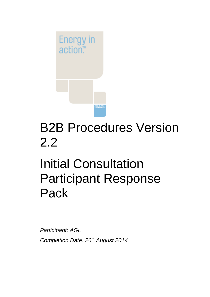

## B2B Procedures Version 2.2

# Initial Consultation Participant Response Pack

*Participant: AGL Completion Date: 26th August 2014*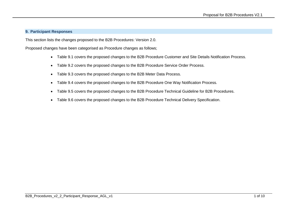#### **9. Participant Responses**

This section lists the changes proposed to the B2B Procedures: Version 2.0.

Proposed changes have been categorised as Procedure changes as follows;

- Table 9.1 covers the proposed changes to the B2B Procedure Customer and Site Details Notification Process.
- Table 9.2 covers the proposed changes to the B2B Procedure Service Order Process.
- Table 9.3 covers the proposed changes to the B2B Meter Data Process.
- Table 9.4 covers the proposed changes to the B2B Procedure One Way Notification Process.
- Table 9.5 covers the proposed changes to the B2B Procedure Technical Guideline for B2B Procedures.
- Table 9.6 covers the proposed changes to the B2B Procedure Technical Delivery Specification.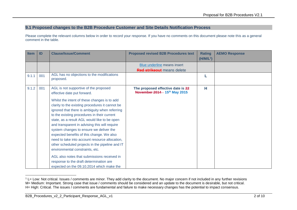### **9.1 Proposed changes to the B2B Procedure Customer and Site Details Notification Process**

Please complete the relevant columns below in order to record your response. If you have no comments on this document please note this as a general comment in the table.

| <b>Item</b> | ID  | <b>Clause/Issue/Comment</b>                                                                                                                                                                                                                                                                                                                                                                                                                                                                                                                                                                                                                                              | <b>Proposed revised B2B Procedures text</b>                        | <b>Rating</b><br>(H/M/L <sup>1</sup> ) | <b>AEMO Response</b> |
|-------------|-----|--------------------------------------------------------------------------------------------------------------------------------------------------------------------------------------------------------------------------------------------------------------------------------------------------------------------------------------------------------------------------------------------------------------------------------------------------------------------------------------------------------------------------------------------------------------------------------------------------------------------------------------------------------------------------|--------------------------------------------------------------------|----------------------------------------|----------------------|
|             |     |                                                                                                                                                                                                                                                                                                                                                                                                                                                                                                                                                                                                                                                                          | Blue underline means insert<br>Red strikeout means delete          |                                        |                      |
| 9.1.1       | 001 | AGL has no objections to the modifications<br>proposed.                                                                                                                                                                                                                                                                                                                                                                                                                                                                                                                                                                                                                  |                                                                    |                                        |                      |
| 9.1.2       | 001 | AGL is not supportive of the proposed<br>effective date put forward.                                                                                                                                                                                                                                                                                                                                                                                                                                                                                                                                                                                                     | The proposed effective date is 22<br>November 2014 - 15th May 2015 | н                                      |                      |
|             |     | Whilst the intent of these changes is to add<br>clarity to the existing procedures it cannot be<br>ignored that there is ambiguity when referring<br>to the existing procedures in their current<br>state, as a result AGL would like to be open<br>and transparent in advising this will require<br>system changes to ensure we deliver the<br>expected benefits of this change. We also<br>need to take into account resource allocation,<br>other scheduled projects in the pipeline and IT<br>environmental constraints, etc.<br>AGL also notes that submissions received in<br>response to the draft determination are<br>expected on the 09.10.2014 which make the |                                                                    |                                        |                      |

 $1$  L= Low: Not critical. Issues / comments are minor. They add clarity to the document. No major concern if not included in any further revisions M= Medium: Important. Strong case that issue / comments should be considered and an update to the document is desirable, but not critical. H= High: Critical. The issues / comments are fundamental and failure to make necessary changes has the potential to impact consensus.

-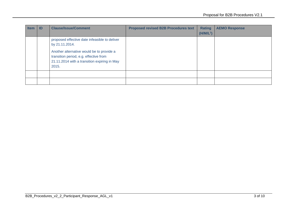| <b>Item</b> | -ID | <b>Clause/Issue/Comment</b>                                                                                                                  | <b>Proposed revised B2B Procedures text</b> | <b>Rating</b><br>$(H/M/L^1)$ | <b>AEMO Response</b> |
|-------------|-----|----------------------------------------------------------------------------------------------------------------------------------------------|---------------------------------------------|------------------------------|----------------------|
|             |     | proposed effective date infeasible to deliver<br>by 21.11.2014.                                                                              |                                             |                              |                      |
|             |     | Another alternative would be to provide a<br>transition period, e.g. effective from<br>21.11.2014 with a transition expiring in May<br>2015. |                                             |                              |                      |
|             |     |                                                                                                                                              |                                             |                              |                      |
|             |     |                                                                                                                                              |                                             |                              |                      |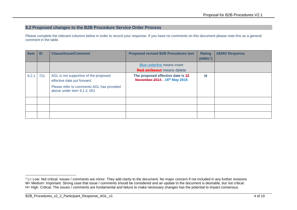#### **9.2 Proposed changes to the B2B Procedure Service Order Process**

Please complete the relevant columns below in order to record your response. If you have no comments on this document please note this as a general comment in the table.

| <b>Item</b> | ID  | <b>Clause/Issue/Comment</b>                                              | <b>Proposed revised B2B Procedures text</b>                        | <b>Rating</b><br>(H/M/L <sup>2</sup> ) | <b>AEMO Response</b> |
|-------------|-----|--------------------------------------------------------------------------|--------------------------------------------------------------------|----------------------------------------|----------------------|
|             |     |                                                                          | Blue underline means insert                                        |                                        |                      |
|             |     |                                                                          | <b>Red strikeout</b> means delete                                  |                                        |                      |
| 9.2.1       | 721 | AGL is not supportive of the proposed<br>effective date put forward.     | The proposed effective date is 22<br>November 2014 - 15th May 2015 | н                                      |                      |
|             |     | Please refer to comments AGL has provided<br>above under item 9.1.2, 001 |                                                                    |                                        |                      |
|             |     |                                                                          |                                                                    |                                        |                      |
|             |     |                                                                          |                                                                    |                                        |                      |
|             |     |                                                                          |                                                                    |                                        |                      |

<sup>-</sup> $2$  L= Low: Not critical. Issues / comments are minor. They add clarity to the document. No major concern if not included in any further revisions M= Medium: Important. Strong case that issue / comments should be considered and an update to the document is desirable, but not critical. H= High: Critical. The issues / comments are fundamental and failure to make necessary changes has the potential to impact consensus.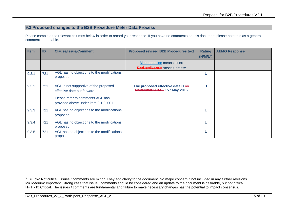### **9.3 Proposed changes to the B2B Procedure Meter Data Process**

Please complete the relevant columns below in order to record your response. If you have no comments on this document please note this as a general comment in the table.

| <b>Item</b> | ID  | <b>Clause/Issue/Comment</b>                                                                                                                      | <b>Proposed revised B2B Procedures text</b>                        | <b>Rating</b><br>$(H/M/L^3)$ | <b>AEMO Response</b> |
|-------------|-----|--------------------------------------------------------------------------------------------------------------------------------------------------|--------------------------------------------------------------------|------------------------------|----------------------|
|             |     |                                                                                                                                                  | Blue underline means insert                                        |                              |                      |
| 9.3.1       | 721 | AGL has no objections to the modifications<br>proposed                                                                                           | <b>Red strikeout</b> means delete                                  |                              |                      |
| 9.3.2       | 721 | AGL is not supportive of the proposed<br>effective date put forward.<br>Please refer to comments AGL has<br>provided above under item 9.1.2, 001 | The proposed effective date is 22<br>November 2014 - 15th May 2015 | н                            |                      |
| 9.3.3       | 721 | AGL has no objections to the modifications<br>proposed                                                                                           |                                                                    |                              |                      |
| 9.3.4       | 721 | AGL has no objections to the modifications<br>proposed                                                                                           |                                                                    |                              |                      |
| 9.3.5       | 721 | AGL has no objections to the modifications<br>proposed                                                                                           |                                                                    |                              |                      |

<sup>-</sup><sup>3</sup> L= Low: Not critical. Issues / comments are minor. They add clarity to the document. No major concern if not included in any further revisions M= Medium: Important. Strong case that issue / comments should be considered and an update to the document is desirable, but not critical. H= High: Critical. The issues / comments are fundamental and failure to make necessary changes has the potential to impact consensus.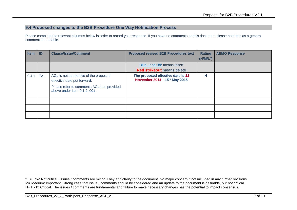### **9.4 Proposed changes to the B2B Procedure One Way Notification Process**

Please complete the relevant columns below in order to record your response. If you have no comments on this document please note this as a general comment in the table.

| <b>Item</b> | ID  | <b>Clause/Issue/Comment</b>                                              | <b>Proposed revised B2B Procedures text</b>                        | <b>Rating</b><br>(H/M/L <sup>4</sup> ) | <b>AEMO Response</b> |
|-------------|-----|--------------------------------------------------------------------------|--------------------------------------------------------------------|----------------------------------------|----------------------|
|             |     |                                                                          | Blue underline means insert                                        |                                        |                      |
|             |     |                                                                          | <b>Red strikeout</b> means delete                                  |                                        |                      |
| 9.4.1       | 721 | AGL is not supportive of the proposed<br>effective date put forward.     | The proposed effective date is 22<br>November 2014 - 15th May 2015 | н                                      |                      |
|             |     | Please refer to comments AGL has provided<br>above under item 9.1.2, 001 |                                                                    |                                        |                      |
|             |     |                                                                          |                                                                    |                                        |                      |
|             |     |                                                                          |                                                                    |                                        |                      |
|             |     |                                                                          |                                                                    |                                        |                      |

-

<sup>&</sup>lt;sup>4</sup> L= Low: Not critical. Issues / comments are minor. They add clarity to the document. No major concern if not included in any further revisions M= Medium: Important. Strong case that issue / comments should be considered and an update to the document is desirable, but not critical. H= High: Critical. The issues / comments are fundamental and failure to make necessary changes has the potential to impact consensus.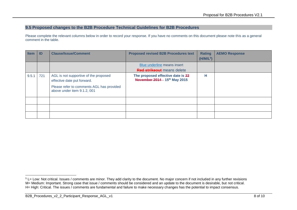#### **9.5 Proposed changes to the B2B Procedure Technical Guidelines for B2B Procedures**

Please complete the relevant columns below in order to record your response. If you have no comments on this document please note this as a general comment in the table.

| <b>Item</b> | ID  | <b>Clause/Issue/Comment</b>                                              | <b>Proposed revised B2B Procedures text</b>                        | <b>Rating</b><br>(H/M/L <sup>5</sup> ) | <b>AEMO Response</b> |
|-------------|-----|--------------------------------------------------------------------------|--------------------------------------------------------------------|----------------------------------------|----------------------|
|             |     |                                                                          | Blue underline means insert                                        |                                        |                      |
|             |     |                                                                          | <b>Red strikeout</b> means delete                                  |                                        |                      |
| 9.5.1       | 721 | AGL is not supportive of the proposed<br>effective date put forward.     | The proposed effective date is 22<br>November 2014 - 15th May 2015 | н                                      |                      |
|             |     | Please refer to comments AGL has provided<br>above under item 9.1.2, 001 |                                                                    |                                        |                      |
|             |     |                                                                          |                                                                    |                                        |                      |
|             |     |                                                                          |                                                                    |                                        |                      |
|             |     |                                                                          |                                                                    |                                        |                      |

<sup>-</sup><sup>5</sup> L= Low: Not critical. Issues / comments are minor. They add clarity to the document. No major concern if not included in any further revisions M= Medium: Important. Strong case that issue / comments should be considered and an update to the document is desirable, but not critical. H= High: Critical. The issues / comments are fundamental and failure to make necessary changes has the potential to impact consensus.